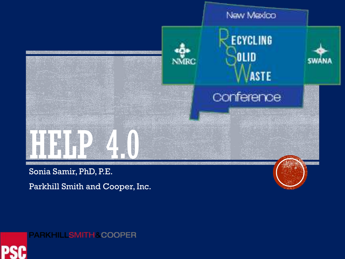



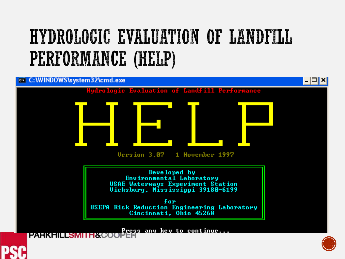# HYDROLOGIC EVALUATION OF LANDFILL PERFORMANCE (HELP)





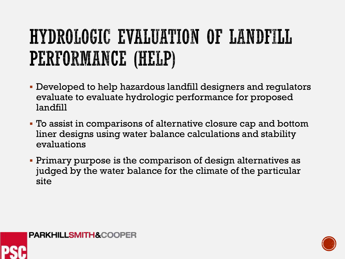# HYDROLOGIC EVALUATION OF LANDFILL PERFORMANCE (HELP)

- Developed to help hazardous landfill designers and regulators evaluate to evaluate hydrologic performance for proposed landfill
- To assist in comparisons of alternative closure cap and bottom liner designs using water balance calculations and stability evaluations
- Primary purpose is the comparison of design alternatives as judged by the water balance for the climate of the particular site





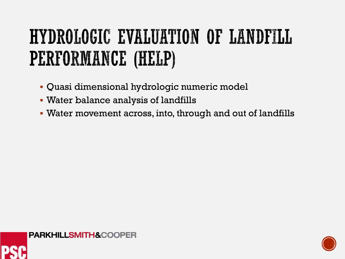# HYDROLOGIC EVALUATION OF LANDFILL PERFORMANCE (HELP)

- Quasi dimensional hydrologic numeric model
- Water balance analysis of landfills
- Water movement across, into, through and out of landfills



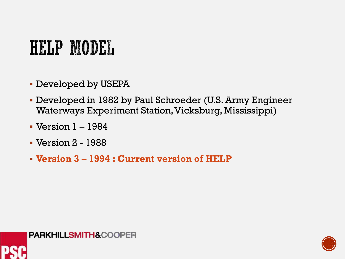## HELP MODEL

- Developed by USEPA
- Developed in 1982 by Paul Schroeder (U.S. Army Engineer Waterways Experiment Station, Vicksburg, Mississippi)
- Version 1 1984
- Version 2 1988
- **Version 3 – 1994 : Current version of HELP**



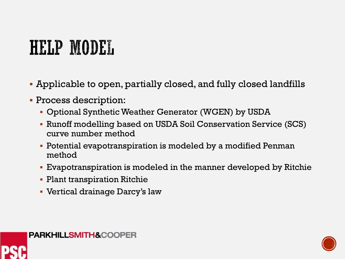# HELP MODEL

- Applicable to open, partially closed, and fully closed landfills
- **Process description:** 
	- Optional Synthetic Weather Generator (WGEN) by USDA
	- Runoff modelling based on USDA Soil Conservation Service (SCS) curve number method
	- Potential evapotranspiration is modeled by a modified Penman method
	- Evapotranspiration is modeled in the manner developed by Ritchie
	- **Plant transpiration Ritchie**
	- Vertical drainage Darcy's law





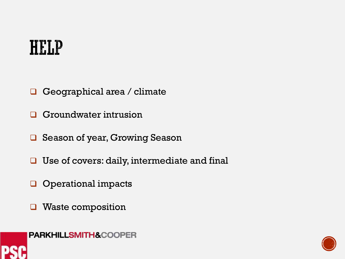#### **HELP**

- Geographical area / climate
- **G** Groundwater intrusion
- **□** Season of year, Growing Season
- $\Box$  Use of covers: daily, intermediate and final
- **Q** Operational impacts
- **u** Waste composition





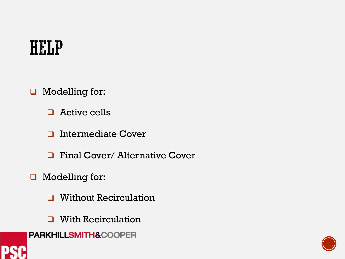#### **HELP**

- Modelling for:
	- □ Active cells
	- **u** Intermediate Cover
	- **Q** Final Cover/ Alternative Cover
- Modelling for:
	- **u** Without Recirculation
	- **u** With Recirculation
- **PARKHILLSMITH&COOPER**



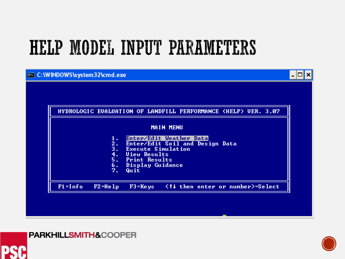



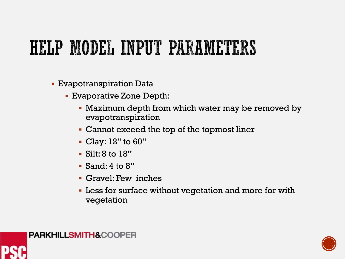- Evapotranspiration Data
	- Evaporative Zone Depth:
		- Maximum depth from which water may be removed by evapotranspiration
		- Cannot exceed the top of the topmost liner
		- Clay: 12" to 60"
		- Silt: 8 to 18"
		- Sand: 4 to 8"
		- Gravel: Few inches
		- **Less for surface without vegetation and more for with** vegetation



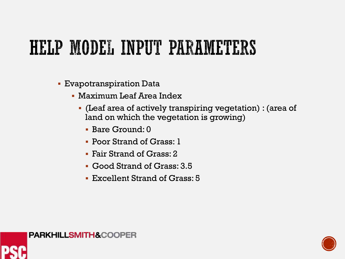- **Evapotranspiration Data** 
	- Maximum Leaf Area Index
		- (Leaf area of actively transpiring vegetation) : (area of land on which the vegetation is growing)
			- Bare Ground: 0
			- Poor Strand of Grass: 1
			- Fair Strand of Grass: 2
			- Good Strand of Grass: 3.5
			- Excellent Strand of Grass: 5



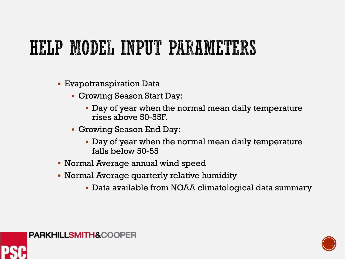- Evapotranspiration Data
	- Growing Season Start Day:
		- Day of year when the normal mean daily temperature rises above 50-55F.
	- Growing Season End Day:
		- Day of year when the normal mean daily temperature falls below 50-55
- Normal Average annual wind speed
- Normal Average quarterly relative humidity
	- Data available from NOAA climatological data summary





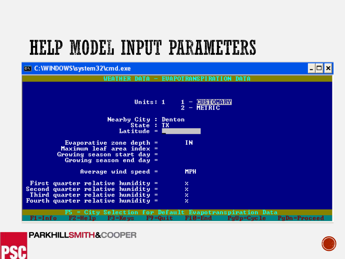#### on C: WINDOWS \system 32\cmd.exe



#### **PARKHILLSMITH&COOPER**





– ∣⊡| ×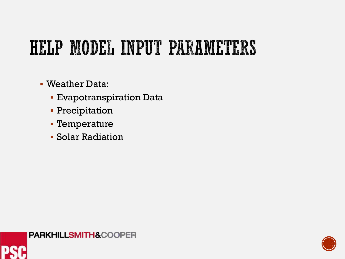- Weather Data:
	- Evapotranspiration Data
	- **Precipitation**
	- Temperature
	- Solar Radiation



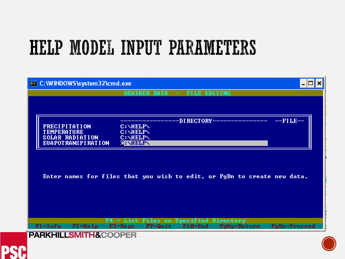| <b>ex</b> C:\WINDOWS\system32\cmd.exe      |                                                                                           |              |
|--------------------------------------------|-------------------------------------------------------------------------------------------|--------------|
|                                            | <b>FILE EDITING</b><br><b>WEATHER DATA</b>                                                |              |
|                                            |                                                                                           |              |
|                                            | -DI RECTORY-                                                                              | $-$ FILE $-$ |
| <b>PRECIPITATION</b><br><b>TEMPERATURE</b> | <b>C: \HELP\</b><br><b>C: NELPN</b>                                                       |              |
| SOLAR RADIATION                            | <b>C: NELPN</b>                                                                           |              |
| <b>EUAPOTRANSPIRATION</b>                  | <b>C:NELPN</b>                                                                            |              |
|                                            |                                                                                           |              |
|                                            |                                                                                           |              |
|                                            | Enter names for files that you wish to edit, or PgDn to create new data.                  |              |
|                                            |                                                                                           |              |
|                                            |                                                                                           |              |
|                                            |                                                                                           |              |
|                                            |                                                                                           |              |
|                                            |                                                                                           |              |
| F1=Info<br>$F2 = He1p$                     | List Files on Specified Directory<br>$F9 = Quit$<br>PgUp=Return<br>$F3 = Keys$<br>F10=End | PgDn=Proceed |

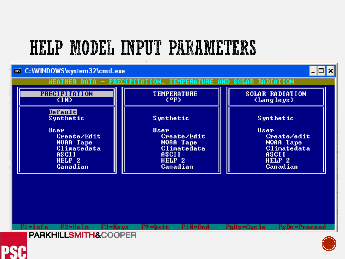

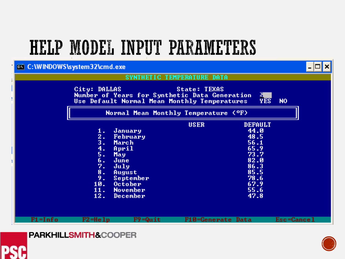#### on C: \WINDOWS\system32\cmd.exe – ∣⊏∥×l SYNTHETIC TEMPERATURE DATA City: DALLAS **State: TEXAS** Number of Years for Synthetic Data Generation<br>Use Default Normal Mean Monthly Temperatures  $\frac{5}{2}$ <sub>ES</sub> N<sub>0</sub> Normal Mean Monthly Temperature (OF) **USER DEFAULT** 44.0 January 1.  $\overline{2}$ . **February** 48.5  $3<sub>1</sub>$ March  $56.1$ 65.9  $4.$ April 73.7 5. May 6. June  $82.0$ 7. 86.3 July  $8.$ 85.5 August 9. 78.6 September 67.9 10. October 11. 55.6 **November**  $12.$ December 47.8 **F10-Generate Data**  $F1 = Info$  $F2 = He1p$  $F9 = Quit$ Esc=Cancel



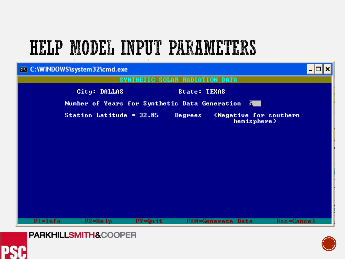





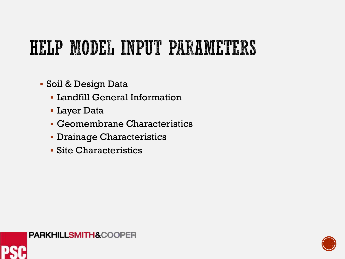- Soil & Design Data
	- Landfill General Information
	- Layer Data
	- Geomembrane Characteristics
	- **Drainage Characteristics**
	- Site Characteristics



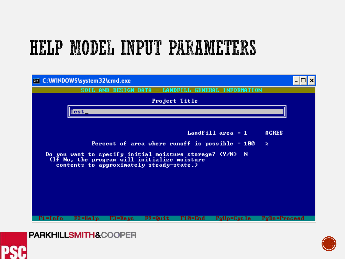





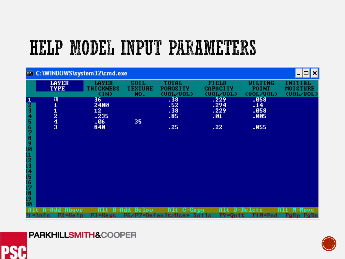|                                                                        | ox C: WINDOWS \system 32\cmd.exe      |                                          |                               |                                               |                                              |                                      | ×                                                                 |
|------------------------------------------------------------------------|---------------------------------------|------------------------------------------|-------------------------------|-----------------------------------------------|----------------------------------------------|--------------------------------------|-------------------------------------------------------------------|
|                                                                        | <b>LAYER</b><br><b>TYPE</b>           | <b>LAYER</b><br><b>THICKNESS</b><br>(IN) | soil<br><b>TEXTURE</b><br>NO. | TOTAL<br><b>POROS I TY</b><br><00L/00L>       | <b>FIELD</b><br><b>CAPACITY</b><br><00F/00F> | WILTING<br><b>POINT</b><br><00L/00L> | INITIAL<br><b>MOISTURE</b><br>(00 <sub>T</sub> /00 <sub>T</sub> ) |
| $\frac{1}{2}$<br>3<br>4<br>5<br>6<br>7<br>8901234567<br>[8<br>[9<br>20 | П<br>$\frac{1}{2}$ $\frac{4}{3}$      | 36<br>2400<br>12<br>.235<br>- 06<br>840  | 35                            | .38<br>.52<br>.38<br>.85<br>.25               | .229<br>.294<br>.229<br>.01<br>.22           | .058<br>.14<br>.058<br>.005<br>.055  |                                                                   |
|                                                                        | $A = Add$<br>Above<br>Info<br>F2=Help | A1t<br>B=Add<br>$F3 = Keys$              | Be low                        | $C = Copy$<br>Alt<br>F6/F7=Default/User Soils | Alt<br>$F9 = Quit$                           | D=Delete<br>F10=End                  | M=Move<br>Alt<br>PgUp<br>PgDn                                     |



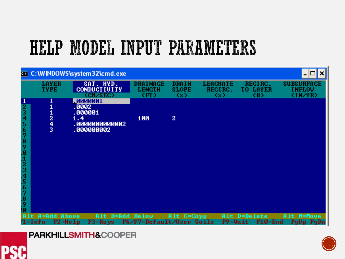|                                                          |                                           | ox C: \WINDOWS\system32\cmd.exe                                     |                                         |                                     |                                 |                                       | ×                                             |
|----------------------------------------------------------|-------------------------------------------|---------------------------------------------------------------------|-----------------------------------------|-------------------------------------|---------------------------------|---------------------------------------|-----------------------------------------------|
|                                                          | <b>LAYER</b><br><b>TYPE</b>               | SAT. HYD.<br><b>CONDUCTIVITY</b><br>(CM/SEC)                        | DRA I NAGE<br><b>LENGTH</b><br>(FT)     | <b>DRAIN</b><br><b>SLOPE</b><br>K2D | <b>LEACHATE</b><br>RECIRC.<br>œ | RECIRC.<br><b>LAYER</b><br>TO.<br>(#) | <b>SUBSURFACE</b><br><b>INFLOW</b><br>(IN/YR) |
| $\frac{1}{2}$ $\frac{1}{5}$ $\frac{1}{6}$<br>7<br>8<br>9 | $\frac{1}{2}$ $\frac{2}{3}$               | 10000001<br>.0002<br>.000001<br>1.4<br>.0000000000002<br>.000000002 | 100                                     | $\overline{2}$                      |                                 |                                       |                                               |
| 01234567<br>.8<br>9<br>lØ                                | $A = Add$<br>Above<br>$F2 = He1p$<br>nf o | Alt<br>$F3 = Keys$                                                  | B=Add Below<br>F6/F7=Default/User Soils | Alt C=Copy                          | $F9 = Quit$                     | Alt D=Delete<br>F10=End               | M=Move<br>A1t<br>PgUp PgDn                    |



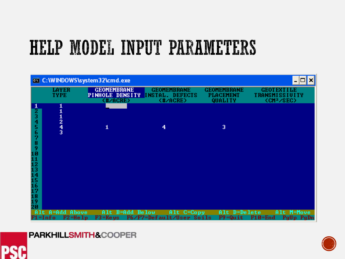



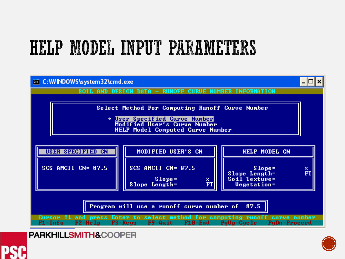

**PARKHILLSMITH&COOPER** 



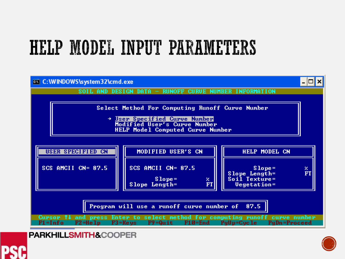

**PARKHILLSMITH&COOPER** 



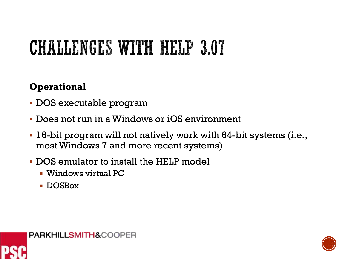# **CHALLENGES WITH HELP 3.07**

#### **Operational**

- DOS executable program
- Does not run in a Windows or iOS environment
- 16-bit program will not natively work with 64-bit systems (i.e., most Windows 7 and more recent systems)
- DOS emulator to install the HELP model
	- Windows virtual PC
	- DOSBox





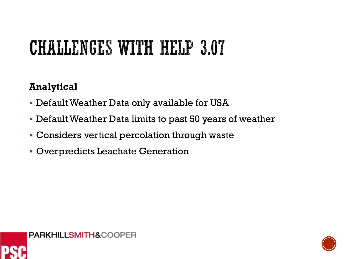# **CHALLENGES WITH HELP 3.07**

#### **Analytical**

- Default Weather Data only available for USA
- Default Weather Data limits to past 50 years of weather
- Considers vertical percolation through waste
- Overpredicts Leachate Generation



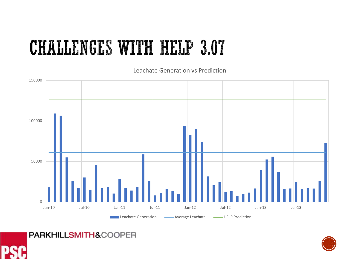### **CHALLENGES WITH HELP 3.07**

Leachate Generation vs Prediction





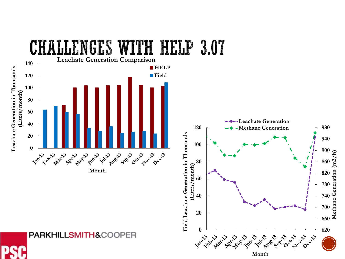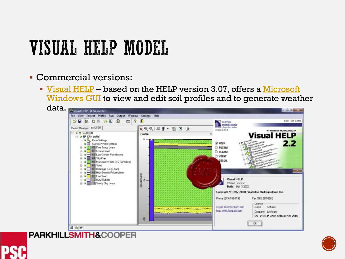#### Commercial versions:

 [Visual HELP](https://www.waterloohydrogeologic.com/visual-help/) – based on the HELP version 3.07, offers a Microsoft Windows [GUI](https://en.wikipedia.org/wiki/GUI) [to view and edit soil profiles and to generate weath](https://en.wikipedia.org/wiki/Microsoft_Windows)er





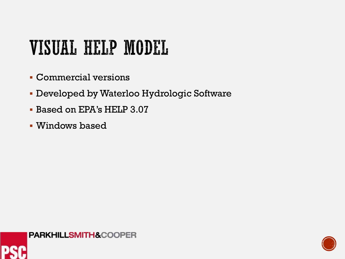- Commercial versions
- Developed by Waterloo Hydrologic Software
- Based on EPA's HELP 3.07
- Windows based



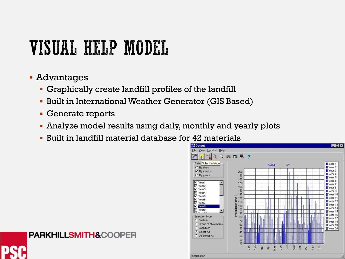- Advantages
	- Graphically create landfill profiles of the landfill
	- Built in International Weather Generator (GIS Based)
	- **Generate reports**

- Analyze model results using daily, monthly and yearly plots
- Built in landfill material database for 42 materials

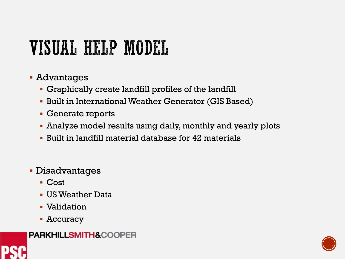- Advantages
	- Graphically create landfill profiles of the landfill
	- Built in International Weather Generator (GIS Based)
	- Generate reports
	- Analyze model results using daily, monthly and yearly plots
	- Built in landfill material database for 42 materials
- Disadvantages
	- Cost
	- US Weather Data
	- Validation
	- Accuracy



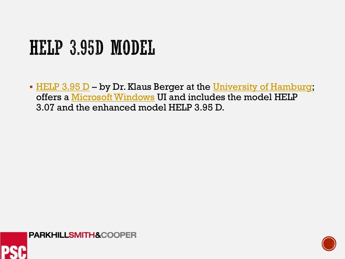# HELP 3.95D MODEL

• [HELP 3.95 D](https://www.geo.uni-hamburg.de/en/bodenkunde/service/help-model.html) – by Dr. Klaus Berger at the [University of Hamburg](https://en.wikipedia.org/wiki/University_of_Hamburg); offers a [Microsoft Windows](https://en.wikipedia.org/wiki/Microsoft_Windows) UI and includes the model HELP 3.07 and the enhanced model HELP 3.95 D.



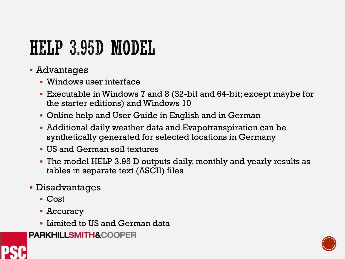# HELP 3.95D MODEL

- Advantages
	- Windows user interface
	- Executable in Windows 7 and 8 (32-bit and 64-bit; except maybe for the starter editions) and Windows 10
	- Online help and User Guide in English and in German
	- Additional daily weather data and Evapotranspiration can be synthetically generated for selected locations in Germany
	- US and German soil textures
	- The model HELP 3.95 D outputs daily, monthly and yearly results as tables in separate text (ASCII) files
- Disadvantages
	- Cost
	- Accuracy
	- **Example 1 Limited to US and German data**
- **PARKHILLSMITH&COOPER**



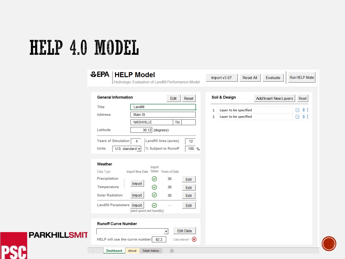**PSC** 

|                     | ₩EPA<br><b>HELP Model</b>                                                                                                                                                                                                                                                                                                                                                                           | Hydrologic Evaluation of Landfill Performance Model                                                                                                                                                                                                                                                       | Import v3.07                                                                                                                    | <b>Reset All</b>                               | Run HELP Mode<br>Evaluate                           |
|---------------------|-----------------------------------------------------------------------------------------------------------------------------------------------------------------------------------------------------------------------------------------------------------------------------------------------------------------------------------------------------------------------------------------------------|-----------------------------------------------------------------------------------------------------------------------------------------------------------------------------------------------------------------------------------------------------------------------------------------------------------|---------------------------------------------------------------------------------------------------------------------------------|------------------------------------------------|-----------------------------------------------------|
| <b>PARKHILLSMIT</b> | <b>General Information</b><br>Landfill<br><b>Title</b><br><b>Address</b><br>Latitude<br><b>Years of Simulation</b><br>4<br><b>Units</b><br>U.S. standard -<br>Weather<br>Import New Data<br>Data Type<br>Precipitation<br>Import<br><b>Temperature</b><br><b>Solar Radiation</b><br>Import<br><b>Landfill Parameters</b><br>Import<br><b>Runoff Curve Number</b><br>HELP will use the curve number: | Edit<br>Main St<br><b>NASHVILLE</b><br><b>TN</b><br>$36.12$ (degrees)<br><b>Landfill Area (acres)</b><br>% Subject to Runoff<br>Import<br>Status Years of Data<br>$\odot$<br>30<br>$\odot$<br>30<br>$\odot$<br>30<br>$\odot$<br>$\cdots$<br>[wind speed and humidity]<br>$\overline{\phantom{a}}$<br>82.2 | Soil & Design<br>Reset<br>$\mathbf{1}$<br>2<br>12<br>100 %<br>Edit<br>Edit<br>Edit<br>Edit<br><b>Edit Data</b><br>Data entered? | Layer to be specified<br>Layer to be specified | <b>Add/Insert New Layers</b><br>Reset<br>■●■<br>口も図 |
|                     | <b>Dashboard</b><br>About                                                                                                                                                                                                                                                                                                                                                                           | $\bigoplus$<br>Main Menu                                                                                                                                                                                                                                                                                  |                                                                                                                                 |                                                |                                                     |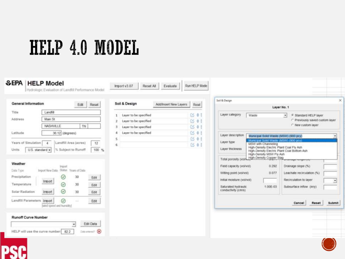| <b>General Information</b>                                                                              | Reset<br>Edit                                                                                                                                                                                                    | Soil & Design<br>Add/Insert New Lavers                                                           | Reset                       | Soil & Design                                                                                                                                                                                                                                                                                                                                                                          |                                                                                                                                                        |
|---------------------------------------------------------------------------------------------------------|------------------------------------------------------------------------------------------------------------------------------------------------------------------------------------------------------------------|--------------------------------------------------------------------------------------------------|-----------------------------|----------------------------------------------------------------------------------------------------------------------------------------------------------------------------------------------------------------------------------------------------------------------------------------------------------------------------------------------------------------------------------------|--------------------------------------------------------------------------------------------------------------------------------------------------------|
| Title<br>Address<br>Latitude                                                                            | Landfill<br>Main St<br>NASHVILLE<br>TN<br>36.12 (degrees)                                                                                                                                                        | Layer to be specified<br>Layer to be specified<br>Layer to be specified<br>Layer to be specified | 6001<br>区 01<br>0501<br>166 | Layer category<br>Waste<br>Layer description<br>Municipal Solid Waste (MSW) (900 pcy)                                                                                                                                                                                                                                                                                                  | Layer No. 1<br><sup>(4</sup> Standard HELP layer<br>$\bullet$<br>C Previously saved custom layer<br>r New custom layer                                 |
| Years of Simulation<br>Units<br>Weather<br>Data Type<br>Precipitation<br>Temperature<br>Solar Radiation | Landfill Area (acres)<br>$\Delta$<br>12<br>% Subject to Runoff<br>U.S. standard -<br>$100 - \frac{m}{20}$<br>Import<br>Import New Data Status Years of Data<br>30<br>✅<br>Edit<br>Import<br>Ø<br>30<br>Edit<br>☺ | 5<br>6                                                                                           | 0.41<br>$\alpha$ of         | Municipal Solid Waste (MSW) (900 pcv)<br>Layer type<br>MSW with Channeling<br>High-Density Electric Plant Coal Fly Ash<br>Layer thickness<br>High-Density MSW Fly Ash<br>Total porosity (volvingh-Density Copper Slag<br>0.292<br>Field capacity (vol/vol)<br>0.077<br>Willing point (vol/vol)<br>Initial moisfure (vol/vol)<br>1.00E-03<br>Saturated hydrautic<br>conductivity (cm/s) | High-Density Electric Plant Coal Bottom Ash<br>Drainage slope (%)<br>Leachaile recirculation (%)<br>Recirculation to layer<br>Subsurface inflow (in/y) |
| Landfill Parameters<br><b>Runoff Curve Number</b>                                                       | 30<br>Import<br>Edit<br>⊙<br>Irrport<br>Edit<br><b>Service</b><br>lwind speed and humidity]                                                                                                                      |                                                                                                  |                             |                                                                                                                                                                                                                                                                                                                                                                                        | Cancel<br>Reset<br>Submit                                                                                                                              |

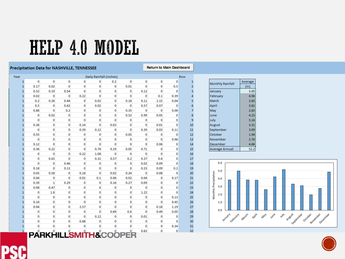#### **Precipitation Data for NASHVILLE, TENNESSEE**

**Return to Main Dashboard** 

| Year         |              |                |                |                | Daily Rainfall (inches) |              |             |                |                |              | Row            |
|--------------|--------------|----------------|----------------|----------------|-------------------------|--------------|-------------|----------------|----------------|--------------|----------------|
| 1            | $\mathbf 0$  | $\mathbf{0}$   | $\mathbf 0$    | $\mathbf{0}$   | $\bf{0}$                | 0.2          | $\mathbf 0$ | $\mathbf 0$    | $\bf{0}$       | 0            | 1              |
| $\mathbf{1}$ | 0.17         | 0.02           | $\overline{0}$ | 0              | 0                       | 0            | 0.01        | $\overline{0}$ | $\overline{0}$ | 0.5          | $\overline{2}$ |
| 1            | 0.52         | 0.19           | 0.54           | $\mathbf 0$    | 0                       | 0            | 0           | 0.12           | $\mathbf{0}$   | $\mathbf{0}$ | 3              |
| $\mathbf{1}$ | 0.02         | 0              | $\mathbf{0}$   | 0.22           | $\mathbf 0$             | 0            | 0           | $\bf{0}$       | 0.1            | 0.39         | 4              |
| $\mathbf{1}$ | 0.2          | 0.26           | 0.44           | 0              | 0.02                    | 0            | 0.18        | 0.11           | 1.15           | 0.04         | 5              |
| $\mathbf{1}$ | 0.5          | 0              | 0.62           | 0              | 0.02                    | 0            | 0           | 0.57           | 0.07           | $\bf{0}$     | 6              |
| $\mathbf{1}$ | 0.86         | $\bf{0}$       | 0.2            | 0              | 0                       | 0            | 0.35        | 0              | $\mathbf 0$    | 0.06         | 7              |
| $\mathbf{1}$ | 0            | 0.02           | 0              | 0              | $\bf{0}$                | 0            | 0.52        | 0.99           | 0.05           | 0            | 8              |
| 1            | $\mathbf{0}$ | 0              | 0              | $\mathbf{0}$   | 0                       | 0            | 0           | $\mathbf 0$    | $\mathbf 0$    | 0            | 9              |
| $\mathbf{1}$ | 0.36         | 0              | 0              | 0.14           | 0                       | 0.02         | 0           | $\bf{0}$       | 0.01           | $\mathbf 0$  | 10             |
| $\mathbf{1}$ | $\bf{0}$     | 0              | 0              | 0.39           | 0.12                    | 0            | 0           | 0.39           | 0.03           | 0.11         | 11             |
| $\mathbf{1}$ | 0.55         | 0              | 0              | 0              | 0                       | 0            | 0.05        | 0              | 0              | 0            | 12             |
| $\mathbf{1}$ | $\mathbf{0}$ | $\mathbf 0$    | 0              | $\mathbf 0$    | $\mathbf 0$             | 0            | 0           | $\mathbf 0$    | $\mathbf{0}$   | 0.96         | 13             |
| $\mathbf{1}$ | 0.12         | $\mathbf{0}$   | 0              | 0              | $\mathbf{0}$            | $\mathbf{0}$ | 0           | $\mathbf{0}$   | 0.06           | 0            | 14             |
| $\mathbf{1}$ | 0.36         | 0.22           | 0              | 0              | 0.74                    | 0.19         | 0.05        | 0.71           | $\mathbf 0$    | 0            | 15             |
| $\mathbf{1}$ | 0            | $\bf{0}$       | 0              | 0.22           | 1.08                    | 0            | 0           | $\mathbf 0$    | $\mathbf{0}$   | 0            | 16             |
| $\mathbf{1}$ | 0            | 0.63           | $\overline{0}$ | 0              | 0.31                    | 0.57         | 0.2         | 0.37           | 0.4            | 0            | 17             |
| 1            | $\mathbf 0$  | 0              | 0.46           | 0              | 0                       | 0            | 0           | 0.02           | 0.09           | O            | 18             |
| 1            | 0.18         | $\mathbf 0$    | 0.13           | 0              | 0                       | 0            | 0           | 0.23           | 0.09           | 0.2          | 19             |
| 1            | 0.05         | 0.58           | 0              | 0.18           | 0                       | 0.02         | 0.24        | $\mathbf 0$    | 0.08           | 0            | 20             |
| $\mathbf{1}$ | 0.04         | 0              | $\overline{0}$ | 0.01           | 0.1                     | 0.06         | 0.02        | 0.04           | $\mathbf 0$    | 0.17         | 21             |
| $\mathbf{1}$ | 0.39         | $\mathbf{1}$   | 0.29           | 0              | 0                       | 0.16         | 0.27        | 0.09           | $\mathbf 0$    | 0            | 22             |
| 1            | 0.08         | 0.47           | 0              | $\mathbf 0$    | 0                       | 0            | 0           | $\bf{0}$       | 0              | 0            | 23             |
| 1            | 0            | 1.8            | 0              | 0              | $\bf{0}$                | 0            | 0           | 1.22           | 0              | 0            | 24             |
| 1            | $\mathbf 0$  | 0              | 0              | 0              | 0                       | 0            | 0           | 0              | $\mathbf 0$    | 0.13         | 25             |
| $\mathbf{1}$ | 0.14         | 0              | 0              | 0              | 0                       | 0            | 0           | 0              | 0              | 0.45         | 26             |
| $\mathbf{1}$ | 0.04         | 0              | 0              | 2.57           | 0                       | 0            | 0           | 0              | 0.18           | 1.19         | 27             |
| $\mathbf{1}$ | 0            | $\mathbf 0$    | 0              | 0              | 0                       | 0.69         | 0.6         | 0              | 0.49           | 0.05         | 28             |
| $\mathbf{1}$ | $\mathbf{0}$ | $\bf{0}$       | 0              | $\overline{0}$ | 0.12                    | 0            | 0           | 0.01           | $\mathbf{0}$   | 0            | 29             |
| 1            | 0            | 0              | 0              | 0.68           | 0                       | 0            | 0           | 0              | $\mathbf 0$    | $\mathbf 0$  | 30             |
| $\mathbf{1}$ | 0            | 0              | 0              | 0              | 0                       | 0            | 0           | 0              | $\mathbf 0$    | 0.34         | 31             |
| 1            | $\mathbf 0$  | $\overline{0}$ | 0              | 0              | $\mathbf 0$             | $\mathbf 0$  | 0           | 0.62           | $\mathbf 0$    | 0            | 32             |

| <b>Monthly Rainfall</b> | Average |
|-------------------------|---------|
|                         | (in)    |
| January                 | 3.85    |
| February                | 4.96    |
| March                   | 3.83    |
| April                   | 3.81    |
| May                     | 2.63    |
| June                    | 4.23    |
| July                    | 5.16    |
| August                  | 3.31    |
| September               | 3.09    |
| October                 | 1.94    |
| November                | 2.76    |
| December                | 4.86    |
| Average Annual          | 52.2    |



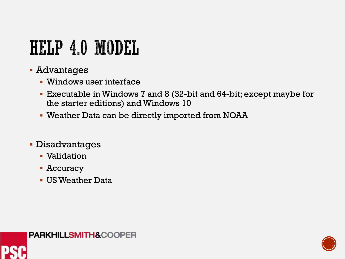- Advantages
	- Windows user interface
	- Executable in Windows 7 and 8 (32-bit and 64-bit; except maybe for the starter editions) and Windows 10
	- Weather Data can be directly imported from NOAA
- Disadvantages
	- Validation
	- Accuracy
	- US Weather Data